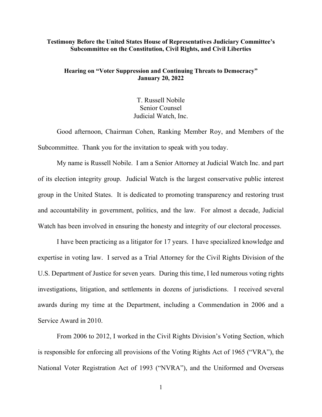#### **Testimony Before the United States House of Representatives Judiciary Committee's Subcommittee on the Constitution, Civil Rights, and Civil Liberties**

## **Hearing on "Voter Suppression and Continuing Threats to Democracy" January 20, 2022**

T. Russell Nobile Senior Counsel Judicial Watch, Inc.

Good afternoon, Chairman Cohen, Ranking Member Roy, and Members of the Subcommittee. Thank you for the invitation to speak with you today.

My name is Russell Nobile. I am a Senior Attorney at Judicial Watch Inc. and part of its election integrity group. Judicial Watch is the largest conservative public interest group in the United States. It is dedicated to promoting transparency and restoring trust and accountability in government, politics, and the law. For almost a decade, Judicial Watch has been involved in ensuring the honesty and integrity of our electoral processes.

I have been practicing as a litigator for 17 years. I have specialized knowledge and expertise in voting law. I served as a Trial Attorney for the Civil Rights Division of the U.S. Department of Justice for seven years. During this time, I led numerous voting rights investigations, litigation, and settlements in dozens of jurisdictions. I received several awards during my time at the Department, including a Commendation in 2006 and a Service Award in 2010.

From 2006 to 2012, I worked in the Civil Rights Division's Voting Section, which is responsible for enforcing all provisions of the Voting Rights Act of 1965 ("VRA"), the National Voter Registration Act of 1993 ("NVRA"), and the Uniformed and Overseas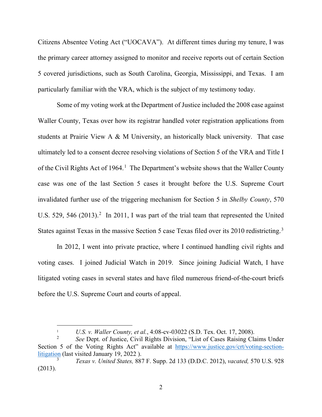Citizens Absentee Voting Act ("UOCAVA"). At different times during my tenure, I was the primary career attorney assigned to monitor and receive reports out of certain Section 5 covered jurisdictions, such as South Carolina, Georgia, Mississippi, and Texas. I am particularly familiar with the VRA, which is the subject of my testimony today.

Some of my voting work at the Department of Justice included the 2008 case against Waller County, Texas over how its registrar handled voter registration applications from students at Prairie View A & M University, an historically black university. That case ultimately led to a consent decree resolving violations of Section 5 of the VRA and Title I of the Civil Rights Act of [1](#page-1-0)964.<sup>1</sup> The Department's website shows that the Waller County case was one of the last Section 5 cases it brought before the U.S. Supreme Court invalidated further use of the triggering mechanism for Section 5 in *Shelby County*, 570 U.S. 5[2](#page-1-1)9, 546 (2013).<sup>2</sup> In 2011, I was part of the trial team that represented the United States against Texas in the massive Section 5 case Texas filed over its 2010 redistricting.<sup>[3](#page-1-2)</sup>

In 2012, I went into private practice, where I continued handling civil rights and voting cases. I joined Judicial Watch in 2019. Since joining Judicial Watch, I have litigated voting cases in several states and have filed numerous friend-of-the-court briefs before the U.S. Supreme Court and courts of appeal.

<sup>1</sup> *U.S. v. Waller County, et al.*, 4:08-cv-03022 (S.D. Tex. Oct. 17, 2008).

<span id="page-1-1"></span><span id="page-1-0"></span><sup>2</sup> *See* Dept. of Justice, Civil Rights Division, "List of Cases Raising Claims Under Section 5 of the Voting Rights Act" available at [https://www.justice.gov/crt/voting-section](https://www.justice.gov/crt/voting-section-litigation)[litigation](https://www.justice.gov/crt/voting-section-litigation) (last visited January 19, 2022 ).

<span id="page-1-2"></span><sup>3</sup> *Texas v. United States,* 887 F. Supp. 2d 133 (D.D.C. 2012), *vacated,* 570 U.S. 928 (2013).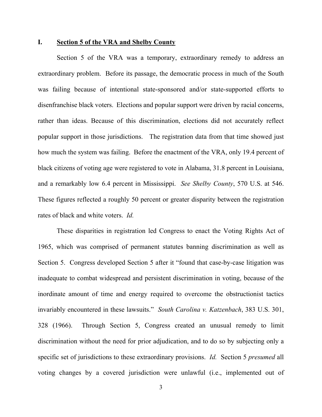### **I. Section 5 of the VRA and Shelby County**

Section 5 of the VRA was a temporary, extraordinary remedy to address an extraordinary problem. Before its passage, the democratic process in much of the South was failing because of intentional state-sponsored and/or state-supported efforts to disenfranchise black voters. Elections and popular support were driven by racial concerns, rather than ideas. Because of this discrimination, elections did not accurately reflect popular support in those jurisdictions. The registration data from that time showed just how much the system was failing. Before the enactment of the VRA, only 19.4 percent of black citizens of voting age were registered to vote in Alabama, 31.8 percent in Louisiana, and a remarkably low 6.4 percent in Mississippi. *See Shelby County*, 570 U.S. at 546. These figures reflected a roughly 50 percent or greater disparity between the registration rates of black and white voters. *Id.*

These disparities in registration led Congress to enact the Voting Rights Act of 1965, which was comprised of permanent statutes banning discrimination as well as Section 5. Congress developed Section 5 after it "found that case-by-case litigation was inadequate to combat widespread and persistent discrimination in voting, because of the inordinate amount of time and energy required to overcome the obstructionist tactics invariably encountered in these lawsuits." *South Carolina v. Katzenbach*, 383 U.S. 301, 328 (1966). Through Section 5, Congress created an unusual remedy to limit discrimination without the need for prior adjudication, and to do so by subjecting only a specific set of jurisdictions to these extraordinary provisions. *Id.* Section 5 *presumed* all voting changes by a covered jurisdiction were unlawful (i.e., implemented out of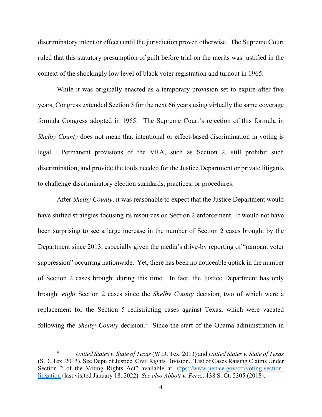discriminatory intent or effect) until the jurisdiction proved otherwise. The Supreme Court ruled that this statutory presumption of guilt before trial on the merits was justified in the context of the shockingly low level of black voter registration and turnout in 1965.

While it was originally enacted as a temporary provision set to expire after five years, Congress extended Section 5 for the next 66 years using virtually the same coverage formula Congress adopted in 1965. The Supreme Court's rejection of this formula in *Shelby County* does not mean that intentional or effect-based discrimination in voting is legal. Permanent provisions of the VRA, such as Section 2, still prohibit such discrimination, and provide the tools needed for the Justice Department or private litigants to challenge discriminatory election standards, practices, or procedures.

After *Shelby County*, it was reasonable to expect that the Justice Department would have shifted strategies focusing its resources on Section 2 enforcement. It would not have been surprising to see a large increase in the number of Section 2 cases brought by the Department since 2013, especially given the media's drive-by reporting of "rampant voter suppression" occurring nationwide. Yet, there has been no noticeable uptick in the number of Section 2 cases brought during this time. In fact, the Justice Department has only brought *eight* Section 2 cases since the *Shelby County* decision, two of which were a replacement for the Section 5 redistricting cases against Texas, which were vacated following the *Shelby County* decision. [4](#page-3-0) Since the start of the Obama administration in

<span id="page-3-0"></span><sup>4</sup> *United States v. State of Texas* (W.D. Tex. 2013) and *United States v. State of Texas* (S.D. Tex. 2013). See Dept. of Justice, Civil Rights Division, "List of Cases Raising Claims Under Section 2 of the Voting Rights Act" available at [https://www.justice.gov/crt/voting-section](https://www.justice.gov/crt/voting-section-litigation)[litigation](https://www.justice.gov/crt/voting-section-litigation) (last visited January 18, 2022). *See also Abbott v. Perez*, 138 S. Ct. 2305 (2018).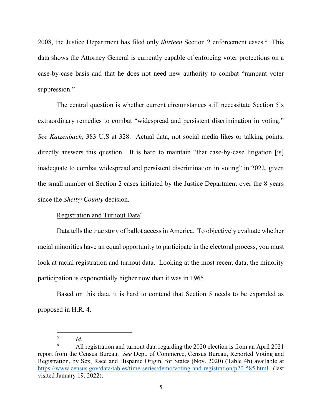2008, the Justice Department has filed only *thirteen* Section 2 enforcement cases.<sup>[5](#page-4-0)</sup> This data shows the Attorney General is currently capable of enforcing voter protections on a case-by-case basis and that he does not need new authority to combat "rampant voter suppression."

The central question is whether current circumstances still necessitate Section 5's extraordinary remedies to combat "widespread and persistent discrimination in voting." *See Katzenbach*, 383 U.S at 328. Actual data, not social media likes or talking points, directly answers this question. It is hard to maintain "that case-by-case litigation [is] inadequate to combat widespread and persistent discrimination in voting" in 2022, given the small number of Section 2 cases initiated by the Justice Department over the 8 years since the *Shelby County* decision.

Registration and Turnout Data<sup>[6](#page-4-1)</sup>

Data tells the true story of ballot access in America. To objectively evaluate whether racial minorities have an equal opportunity to participate in the electoral process, you must look at racial registration and turnout data. Looking at the most recent data, the minority participation is exponentially higher now than it was in 1965.

Based on this data, it is hard to contend that Section 5 needs to be expanded as proposed in H.R. 4.

<sup>5</sup> *Id.*

<span id="page-4-1"></span><span id="page-4-0"></span><sup>6</sup> All registration and turnout data regarding the 2020 election is from an April 2021 report from the Census Bureau. *See* Dept. of Commerce, Census Bureau, Reported Voting and Registration, by Sex, Race and Hispanic Origin, for States (Nov. 2020) (Table 4b) available at <https://www.census.gov/data/tables/time-series/demo/voting-and-registration/p20-585.html> (last visited January 19, 2022).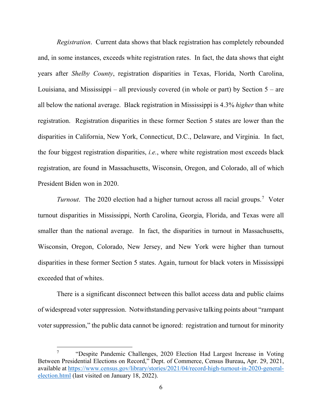*Registration*. Current data shows that black registration has completely rebounded and, in some instances, exceeds white registration rates. In fact, the data shows that eight years after *Shelby County*, registration disparities in Texas, Florida, North Carolina, Louisiana, and Mississippi – all previously covered (in whole or part) by Section  $5 -$  are all below the national average. Black registration in Mississippi is 4.3% *higher* than white registration. Registration disparities in these former Section 5 states are lower than the disparities in California, New York, Connecticut, D.C., Delaware, and Virginia. In fact, the four biggest registration disparities, *i.e.*, where white registration most exceeds black registration, are found in Massachusetts, Wisconsin, Oregon, and Colorado, all of which President Biden won in 2020.

*Turnout*. The 2020 election had a higher turnout across all racial groups.[7](#page-5-0) Voter turnout disparities in Mississippi, North Carolina, Georgia, Florida, and Texas were all smaller than the national average. In fact, the disparities in turnout in Massachusetts, Wisconsin, Oregon, Colorado, New Jersey, and New York were higher than turnout disparities in these former Section 5 states. Again, turnout for black voters in Mississippi exceeded that of whites.

There is a significant disconnect between this ballot access data and public claims of widespread voter suppression. Notwithstanding pervasive talking points about "rampant voter suppression," the public data cannot be ignored: registration and turnout for minority

<span id="page-5-0"></span><sup>7</sup> "Despite Pandemic Challenges, 2020 Election Had Largest Increase in Voting Between Presidential Elections on Record," Dept. of Commerce, Census Bureau**,** Apr. 29, 2021, available at [https://www.census.gov/library/stories/2021/04/record-high-turnout-in-2020-general](https://www.census.gov/library/stories/2021/04/record-high-turnout-in-2020-general-election.html)[election.html](https://www.census.gov/library/stories/2021/04/record-high-turnout-in-2020-general-election.html) (last visited on January 18, 2022).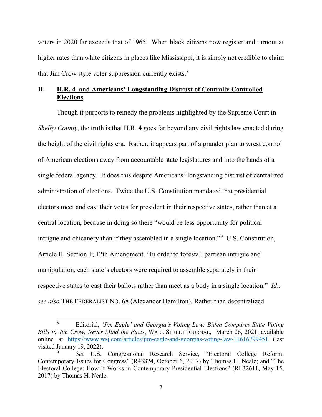voters in 2020 far exceeds that of 1965. When black citizens now register and turnout at higher rates than white citizens in places like Mississippi, it is simply not credible to claim that Jim Crow style voter suppression currently exists. $8$ 

# **II. H.R. 4 and Americans' Longstanding Distrust of Centrally Controlled Elections**

Though it purports to remedy the problems highlighted by the Supreme Court in *Shelby County*, the truth is that H.R. 4 goes far beyond any civil rights law enacted during the height of the civil rights era. Rather, it appears part of a grander plan to wrest control of American elections away from accountable state legislatures and into the hands of a single federal agency. It does this despite Americans' longstanding distrust of centralized administration of elections. Twice the U.S. Constitution mandated that presidential electors meet and cast their votes for president in their respective states, rather than at a central location, because in doing so there "would be less opportunity for political intrigue and chicanery than if they assembled in a single location."[9](#page-6-1) U.S. Constitution, Article II, Section 1; 12th Amendment. "In order to forestall partisan intrigue and manipulation, each state's electors were required to assemble separately in their respective states to cast their ballots rather than meet as a body in a single location." *Id*.*; see also* THE FEDERALIST NO. 68 (Alexander Hamilton). Rather than decentralized

<span id="page-6-0"></span><sup>8</sup> Editorial, *'Jim Eagle' and Georgia's Voting Law: Biden Compares State Voting Bills to Jim Crow, Never Mind the Facts*, WALL STREET JOURNAL, March 26, 2021, available online at <https://www.wsj.com/articles/jim-eagle-and-georgias-voting-law-11616799451> (last visited January 19, 2022).

<span id="page-6-1"></span><sup>9</sup> *See* U.S. Congressional Research Service, "Electoral College Reform: Contemporary Issues for Congress" (R43824, October 6, 2017) by Thomas H. Neale; and "The Electoral College: How It Works in Contemporary Presidential Elections" (RL32611, May 15, 2017) by Thomas H. Neale.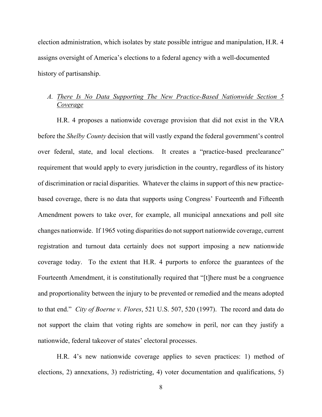election administration, which isolates by state possible intrigue and manipulation, H.R. 4 assigns oversight of America's elections to a federal agency with a well-documented history of partisanship.

# *A. There Is No Data Supporting The New Practice-Based Nationwide Section 5 Coverage*

H.R. 4 proposes a nationwide coverage provision that did not exist in the VRA before the *Shelby County* decision that will vastly expand the federal government's control over federal, state, and local elections. It creates a "practice-based preclearance" requirement that would apply to every jurisdiction in the country, regardless of its history of discrimination or racial disparities. Whatever the claims in support of this new practicebased coverage, there is no data that supports using Congress' Fourteenth and Fifteenth Amendment powers to take over, for example, all municipal annexations and poll site changes nationwide. If 1965 voting disparities do not support nationwide coverage, current registration and turnout data certainly does not support imposing a new nationwide coverage today. To the extent that H.R. 4 purports to enforce the guarantees of the Fourteenth Amendment, it is constitutionally required that "[t]here must be a congruence and proportionality between the injury to be prevented or remedied and the means adopted to that end." *City of Boerne v. Flores*, 521 U.S. 507, 520 (1997). The record and data do not support the claim that voting rights are somehow in peril, nor can they justify a nationwide, federal takeover of states' electoral processes.

 H.R. 4's new nationwide coverage applies to seven practices: 1) method of elections, 2) annexations, 3) redistricting, 4) voter documentation and qualifications, 5)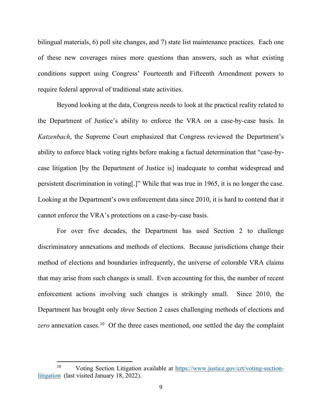bilingual materials, 6) poll site changes, and 7) state list maintenance practices. Each one of these new coverages raises more questions than answers, such as what existing conditions support using Congress' Fourteenth and Fifteenth Amendment powers to require federal approval of traditional state activities.

Beyond looking at the data, Congress needs to look at the practical reality related to the Department of Justice's ability to enforce the VRA on a case-by-case basis. In *Katzenbach*, the Supreme Court emphasized that Congress reviewed the Department's ability to enforce black voting rights before making a factual determination that "case-bycase litigation [by the Department of Justice is] inadequate to combat widespread and persistent discrimination in voting[.]" While that was true in 1965, it is no longer the case. Looking at the Department's own enforcement data since 2010, it is hard to contend that it cannot enforce the VRA's protections on a case-by-case basis.

For over five decades, the Department has used Section 2 to challenge discriminatory annexations and methods of elections. Because jurisdictions change their method of elections and boundaries infrequently, the universe of colorable VRA claims that may arise from such changes is small. Even accounting for this, the number of recent enforcement actions involving such changes is strikingly small. Since 2010, the Department has brought only *three* Section 2 cases challenging methods of elections and zero annexation cases.<sup>[10](#page-8-0)</sup> Of the three cases mentioned, one settled the day the complaint

<span id="page-8-0"></span><sup>10</sup> Voting Section Litigation available at [https://www.justice.gov/crt/voting-section](https://www.justice.gov/crt/voting-section-litigation)[litigation](https://www.justice.gov/crt/voting-section-litigation) (last visited January 18, 2022).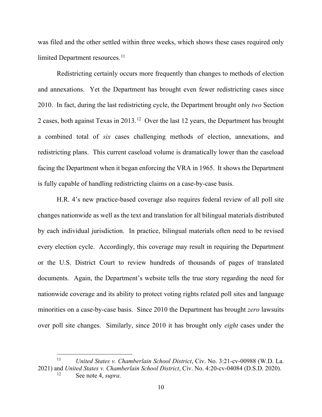was filed and the other settled within three weeks, which shows these cases required only limited Department resources. [11](#page-9-0)

Redistricting certainly occurs more frequently than changes to methods of election and annexations. Yet the Department has brought even fewer redistricting cases since 2010. In fact, during the last redistricting cycle, the Department brought only *two* Section 2 cases, both against Texas in 2013.[12](#page-9-1) Over the last 12 years, the Department has brought a combined total of *six* cases challenging methods of election, annexations, and redistricting plans. This current caseload volume is dramatically lower than the caseload facing the Department when it began enforcing the VRA in 1965. It shows the Department is fully capable of handling redistricting claims on a case-by-case basis.

H.R. 4's new practice-based coverage also requires federal review of all poll site changes nationwide as well as the text and translation for all bilingual materials distributed by each individual jurisdiction. In practice, bilingual materials often need to be revised every election cycle. Accordingly, this coverage may result in requiring the Department or the U.S. District Court to review hundreds of thousands of pages of translated documents. Again, the Department's website tells the true story regarding the need for nationwide coverage and its ability to protect voting rights related poll sites and language minorities on a case-by-case basis. Since 2010 the Department has brought *zero* lawsuits over poll site changes. Similarly, since 2010 it has brought only *eight* cases under the

<span id="page-9-1"></span><span id="page-9-0"></span><sup>11</sup> *United States v. Chamberlain School District*, Civ. No. 3:21-cv-00988 (W.D. La. 2021) and *United States v. Chamberlain School District*, Civ. No. 4:20-cv-04084 (D.S.D. 2020). See note 4, *supra*.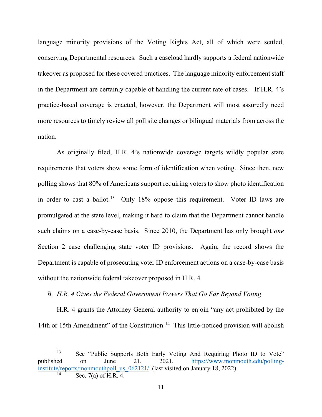language minority provisions of the Voting Rights Act, all of which were settled, conserving Departmental resources. Such a caseload hardly supports a federal nationwide takeover as proposed for these covered practices. The language minority enforcement staff in the Department are certainly capable of handling the current rate of cases. If H.R. 4's practice-based coverage is enacted, however, the Department will most assuredly need more resources to timely review all poll site changes or bilingual materials from across the nation.

As originally filed, H.R. 4's nationwide coverage targets wildly popular state requirements that voters show some form of identification when voting. Since then, new polling shows that 80% of Americans support requiring voters to show photo identification in order to cast a ballot.<sup>[13](#page-10-0)</sup> Only 18% oppose this requirement. Voter ID laws are promulgated at the state level, making it hard to claim that the Department cannot handle such claims on a case-by-case basis. Since 2010, the Department has only brought *one* Section 2 case challenging state voter ID provisions. Again, the record shows the Department is capable of prosecuting voter ID enforcement actions on a case-by-case basis without the nationwide federal takeover proposed in H.R. 4.

# *B. H.R. 4 Gives the Federal Government Powers That Go Far Beyond Voting*

H.R. 4 grants the Attorney General authority to enjoin "any act prohibited by the [14](#page-10-1)th or 15th Amendment" of the Constitution.<sup>14</sup> This little-noticed provision will abolish

<span id="page-10-1"></span><span id="page-10-0"></span><sup>&</sup>lt;sup>13</sup> See "Public Supports Both Early Voting And Requiring Photo ID to Vote" published on June 21, 2021, [https://www.monmouth.edu/polling](https://www.monmouth.edu/polling-institute/reports/monmouthpoll_us_062121/)[institute/reports/monmouthpoll\\_us\\_062121/](https://www.monmouth.edu/polling-institute/reports/monmouthpoll_us_062121/) (last visited on January 18, 2022). Sec.  $7(a)$  of H.R. 4.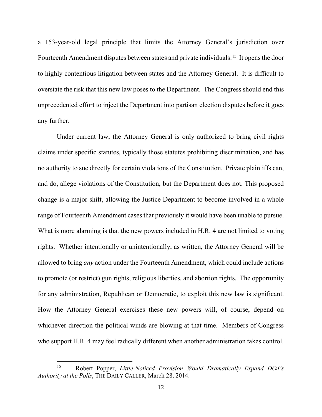a 153-year-old legal principle that limits the Attorney General's jurisdiction over Fourteenth Amendment disputes between states and private individuals.<sup>15</sup> It opens the door to highly contentious litigation between states and the Attorney General. It is difficult to overstate the risk that this new law poses to the Department. The Congress should end this unprecedented effort to inject the Department into partisan election disputes before it goes any further.

Under current law, the Attorney General is only authorized to bring civil rights claims under specific statutes, typically those statutes prohibiting discrimination, and has no authority to sue directly for certain violations of the Constitution. Private plaintiffs can, and do, allege violations of the Constitution, but the Department does not. This proposed change is a major shift, allowing the Justice Department to become involved in a whole range of Fourteenth Amendment cases that previously it would have been unable to pursue. What is more alarming is that the new powers included in H.R. 4 are not limited to voting rights. Whether intentionally or unintentionally, as written, the Attorney General will be allowed to bring *any* action under the Fourteenth Amendment, which could include actions to promote (or restrict) gun rights, religious liberties, and abortion rights. The opportunity for any administration, Republican or Democratic, to exploit this new law is significant. How the Attorney General exercises these new powers will, of course, depend on whichever direction the political winds are blowing at that time. Members of Congress who support H.R. 4 may feel radically different when another administration takes control.

<span id="page-11-0"></span><sup>15</sup> Robert Popper, *Little-Noticed Provision Would Dramatically Expand DOJ's Authority at the Polls*, THE DAILY CALLER, March 28, 2014.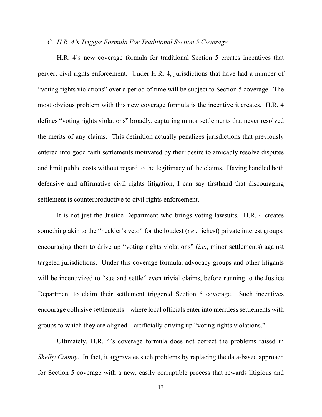#### *C. H.R. 4's Trigger Formula For Traditional Section 5 Coverage*

H.R. 4's new coverage formula for traditional Section 5 creates incentives that pervert civil rights enforcement. Under H.R. 4, jurisdictions that have had a number of "voting rights violations" over a period of time will be subject to Section 5 coverage. The most obvious problem with this new coverage formula is the incentive it creates. H.R. 4 defines "voting rights violations" broadly, capturing minor settlements that never resolved the merits of any claims. This definition actually penalizes jurisdictions that previously entered into good faith settlements motivated by their desire to amicably resolve disputes and limit public costs without regard to the legitimacy of the claims. Having handled both defensive and affirmative civil rights litigation, I can say firsthand that discouraging settlement is counterproductive to civil rights enforcement.

It is not just the Justice Department who brings voting lawsuits. H.R. 4 creates something akin to the "heckler's veto" for the loudest (*i.e*., richest) private interest groups, encouraging them to drive up "voting rights violations" (*i.e*., minor settlements) against targeted jurisdictions. Under this coverage formula, advocacy groups and other litigants will be incentivized to "sue and settle" even trivial claims, before running to the Justice Department to claim their settlement triggered Section 5 coverage. Such incentives encourage collusive settlements – where local officials enter into meritless settlements with groups to which they are aligned – artificially driving up "voting rights violations."

Ultimately, H.R. 4's coverage formula does not correct the problems raised in *Shelby County*. In fact, it aggravates such problems by replacing the data-based approach for Section 5 coverage with a new, easily corruptible process that rewards litigious and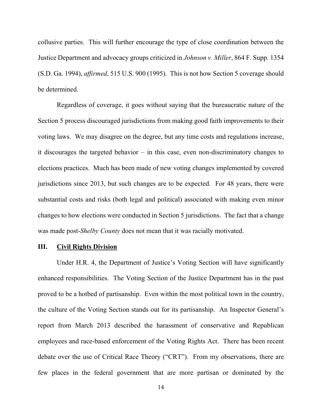collusive parties. This will further encourage the type of close coordination between the Justice Department and advocacy groups criticized in *Johnson v. Miller*, 864 F. Supp. 1354 (S.D. Ga. 1994), *affirmed*, 515 U.S. 900 (1995). This is not how Section 5 coverage should be determined.

Regardless of coverage, it goes without saying that the bureaucratic nature of the Section 5 process discouraged jurisdictions from making good faith improvements to their voting laws. We may disagree on the degree, but any time costs and regulations increase, it discourages the targeted behavior – in this case, even non-discriminatory changes to elections practices. Much has been made of new voting changes implemented by covered jurisdictions since 2013, but such changes are to be expected. For 48 years, there were substantial costs and risks (both legal and political) associated with making even minor changes to how elections were conducted in Section 5 jurisdictions. The fact that a change was made post-*Shelby County* does not mean that it was racially motivated.

# **III. Civil Rights Division**

Under H.R. 4, the Department of Justice's Voting Section will have significantly enhanced responsibilities. The Voting Section of the Justice Department has in the past proved to be a hotbed of partisanship. Even within the most political town in the country, the culture of the Voting Section stands out for its partisanship. An Inspector General's report from March 2013 described the harassment of conservative and Republican employees and race-based enforcement of the Voting Rights Act. There has been recent debate over the use of Critical Race Theory ("CRT"). From my observations, there are few places in the federal government that are more partisan or dominated by the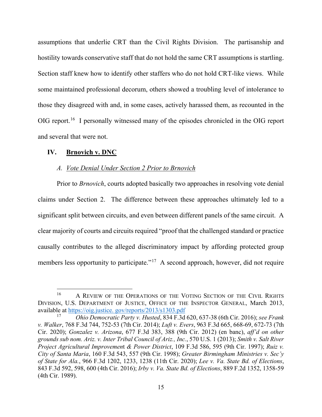assumptions that underlie CRT than the Civil Rights Division. The partisanship and hostility towards conservative staff that do not hold the same CRT assumptions is startling. Section staff knew how to identify other staffers who do not hold CRT-like views. While some maintained professional decorum, others showed a troubling level of intolerance to those they disagreed with and, in some cases, actively harassed them, as recounted in the OIG report.<sup>[16](#page-14-0)</sup> I personally witnessed many of the episodes chronicled in the OIG report and several that were not.

### **IV. Brnovich v. DNC**

### *A. Vote Denial Under Section 2 Prior to Brnovich*

Prior to *Brnovich*, courts adopted basically two approaches in resolving vote denial claims under Section 2. The difference between these approaches ultimately led to a significant split between circuits, and even between different panels of the same circuit. A clear majority of courts and circuits required "proof that the challenged standard or practice causally contributes to the alleged discriminatory impact by affording protected group members less opportunity to participate."<sup>[17](#page-14-1)</sup> A second approach, however, did not require

<span id="page-14-0"></span><sup>&</sup>lt;sup>16</sup> A REVIEW OF THE OPERATIONS OF THE VOTING SECTION OF THE CIVIL RIGHTS DIVISION, U.S. DEPARTMENT OF JUSTICE, OFFICE OF THE INSPECTOR GENERAL, March 2013, available at  $\frac{https://oig.justice. gov/reports/2013/s1303.pdf}{Obio Democratio Party. Huted 834 E 34}$ 

<span id="page-14-1"></span><sup>17</sup> *Ohio Democratic Party v. Husted*, 834 F.3d 620, 637-38 (6th Cir. 2016); *see Frank v. Walker*, 768 F.3d 744, 752-53 (7th Cir. 2014); *Luft v. Evers*, 963 F.3d 665, 668-69, 672-73 (7th Cir. 2020); *Gonzalez v. Arizona*, 677 F.3d 383, 388 (9th Cir. 2012) (en banc), *aff'd on other grounds sub nom. Ariz. v. Inter Tribal Council of Ariz., Inc.*, 570 U.S. 1 (2013); *Smith v. Salt River Project Agricultural Improvemen*t *& Power District*, 109 F.3d 586, 595 (9th Cir. 1997); *Ruiz v. City of Santa Maria*, 160 F.3d 543, 557 (9th Cir. 1998); *Greater Birmingham Ministries v. Sec'y of State for Ala.*, 966 F.3d 1202, 1233, 1238 (11th Cir. 2020); *Lee v. Va. State Bd. of Elections*, 843 F.3d 592, 598, 600 (4th Cir. 2016); *Irby v. Va. State Bd. of Elections*, 889 F.2d 1352, 1358-59 (4th Cir. 1989).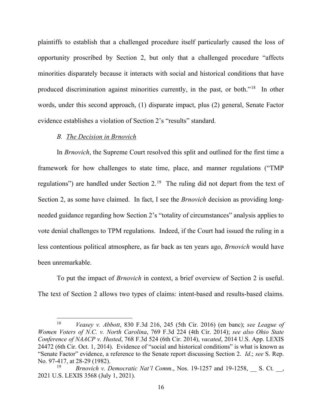plaintiffs to establish that a challenged procedure itself particularly caused the loss of opportunity proscribed by Section 2, but only that a challenged procedure "affects minorities disparately because it interacts with social and historical conditions that have produced discrimination against minorities currently, in the past, or both."[18](#page-15-0) In other words, under this second approach, (1) disparate impact, plus (2) general, Senate Factor evidence establishes a violation of Section 2's "results" standard.

#### *B. The Decision in Brnovich*

In *Brnovich*, the Supreme Court resolved this split and outlined for the first time a framework for how challenges to state time, place, and manner regulations ("TMP regulations") are handled under Section  $2.^{19}$  The ruling did not depart from the text of Section 2, as some have claimed. In fact, I see the *Brnovich* decision as providing longneeded guidance regarding how Section 2's "totality of circumstances" analysis applies to vote denial challenges to TPM regulations. Indeed, if the Court had issued the ruling in a less contentious political atmosphere, as far back as ten years ago, *Brnovich* would have been unremarkable.

To put the impact of *Brnovich* in context, a brief overview of Section 2 is useful. The text of Section 2 allows two types of claims: intent-based and results-based claims.

<span id="page-15-0"></span><sup>18</sup> *Veasey v. Abbott*, 830 F.3d 216, 245 (5th Cir. 2016) (en banc); *see League of Women Voters of N.C. v. North Carolina*, 769 F.3d 224 (4th Cir. 2014); *see also Ohio State Conference of NAACP v. Husted*, 768 F.3d 524 (6th Cir. 2014), *vacated*, 2014 U.S. App. LEXIS 24472 (6th Cir. Oct. 1, 2014). Evidence of "social and historical conditions" is what is known as "Senate Factor" evidence, a reference to the Senate report discussing Section 2. *Id*.; *see* S. Rep. No. 97-417, at 28-29 (1982).

<span id="page-15-1"></span><sup>19</sup> *Brnovich v. Democratic Nat'l Comm*., Nos. 19-1257 and 19-1258, \_\_ S. Ct. \_\_, 2021 U.S. LEXIS 3568 (July 1, 2021).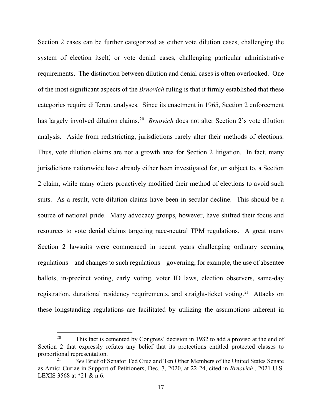Section 2 cases can be further categorized as either vote dilution cases, challenging the system of election itself, or vote denial cases, challenging particular administrative requirements. The distinction between dilution and denial cases is often overlooked. One of the most significant aspects of the *Brnovich* ruling is that it firmly established that these categories require different analyses. Since its enactment in 1965, Section 2 enforcement has largely involved dilution claims. [20](#page-16-0) *Brnovich* does not alter Section 2's vote dilution analysis. Aside from redistricting, jurisdictions rarely alter their methods of elections. Thus, vote dilution claims are not a growth area for Section 2 litigation. In fact, many jurisdictions nationwide have already either been investigated for, or subject to, a Section 2 claim, while many others proactively modified their method of elections to avoid such suits. As a result, vote dilution claims have been in secular decline. This should be a source of national pride. Many advocacy groups, however, have shifted their focus and resources to vote denial claims targeting race-neutral TPM regulations. A great many Section 2 lawsuits were commenced in recent years challenging ordinary seeming regulations – and changes to such regulations – governing, for example, the use of absentee ballots, in-precinct voting, early voting, voter ID laws, election observers, same-day registration, durational residency requirements, and straight-ticket voting.<sup>[21](#page-16-1)</sup> Attacks on these longstanding regulations are facilitated by utilizing the assumptions inherent in

<span id="page-16-0"></span><sup>&</sup>lt;sup>20</sup> This fact is cemented by Congress' decision in 1982 to add a proviso at the end of Section 2 that expressly refutes any belief that its protections entitled protected classes to proportional representation.

<span id="page-16-1"></span><sup>21</sup> *See* Brief of Senator Ted Cruz and Ten Other Members of the United States Senate as Amici Curiae in Support of Petitioners, Dec. 7, 2020, at 22-24, cited in *Brnovich*., 2021 U.S. LEXIS 3568 at \*21 & n.6.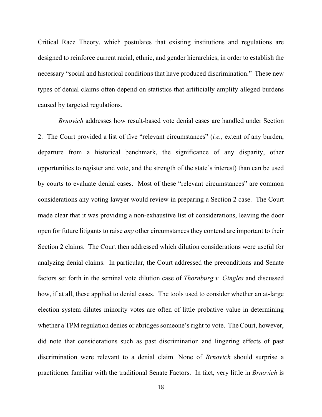Critical Race Theory, which postulates that existing institutions and regulations are designed to reinforce current racial, ethnic, and gender hierarchies, in order to establish the necessary "social and historical conditions that have produced discrimination." These new types of denial claims often depend on statistics that artificially amplify alleged burdens caused by targeted regulations.

*Brnovich* addresses how result-based vote denial cases are handled under Section 2. The Court provided a list of five "relevant circumstances" (*i.e.*, extent of any burden, departure from a historical benchmark, the significance of any disparity, other opportunities to register and vote, and the strength of the state's interest) than can be used by courts to evaluate denial cases. Most of these "relevant circumstances" are common considerations any voting lawyer would review in preparing a Section 2 case. The Court made clear that it was providing a non-exhaustive list of considerations, leaving the door open for future litigants to raise *any* other circumstances they contend are important to their Section 2 claims. The Court then addressed which dilution considerations were useful for analyzing denial claims. In particular, the Court addressed the preconditions and Senate factors set forth in the seminal vote dilution case of *Thornburg v. Gingles* and discussed how, if at all, these applied to denial cases. The tools used to consider whether an at-large election system dilutes minority votes are often of little probative value in determining whether a TPM regulation denies or abridges someone's right to vote. The Court, however, did note that considerations such as past discrimination and lingering effects of past discrimination were relevant to a denial claim. None of *Brnovich* should surprise a practitioner familiar with the traditional Senate Factors. In fact, very little in *Brnovich* is